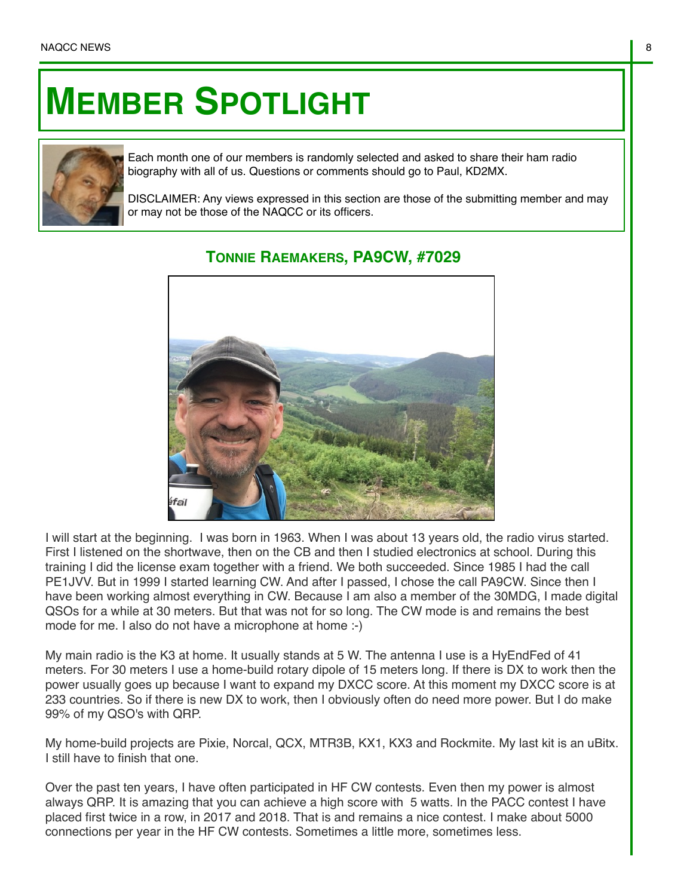## **MEMBER SPOTLIGHT**



Each month one of our members is randomly selected and asked to share their ham radio biography with all of us. Questions or comments should go to Paul, KD2MX.

DISCLAIMER: Any views expressed in this section are those of the submitting member and may or may not be those of the NAQCC or its officers.



## **TONNIE RAEMAKERS, PA9CW, #7029**

I will start at the beginning. I was born in 1963. When I was about 13 years old, the radio virus started. First I listened on the shortwave, then on the CB and then I studied electronics at school. During this training I did the license exam together with a friend. We both succeeded. Since 1985 I had the call PE1JVV. But in 1999 I started learning CW. And after I passed, I chose the call PA9CW. Since then I have been working almost everything in CW. Because I am also a member of the 30MDG, I made digital QSOs for a while at 30 meters. But that was not for so long. The CW mode is and remains the best mode for me. I also do not have a microphone at home :-)

My main radio is the K3 at home. It usually stands at 5 W. The antenna I use is a HyEndFed of 41 meters. For 30 meters I use a home-build rotary dipole of 15 meters long. If there is DX to work then the power usually goes up because I want to expand my DXCC score. At this moment my DXCC score is at 233 countries. So if there is new DX to work, then I obviously often do need more power. But I do make 99% of my QSO's with QRP.

My home-build projects are Pixie, Norcal, QCX, MTR3B, KX1, KX3 and Rockmite. My last kit is an uBitx. I still have to finish that one.

Over the past ten years, I have often participated in HF CW contests. Even then my power is almost always QRP. It is amazing that you can achieve a high score with 5 watts. In the PACC contest I have placed first twice in a row, in 2017 and 2018. That is and remains a nice contest. I make about 5000 connections per year in the HF CW contests. Sometimes a little more, sometimes less.